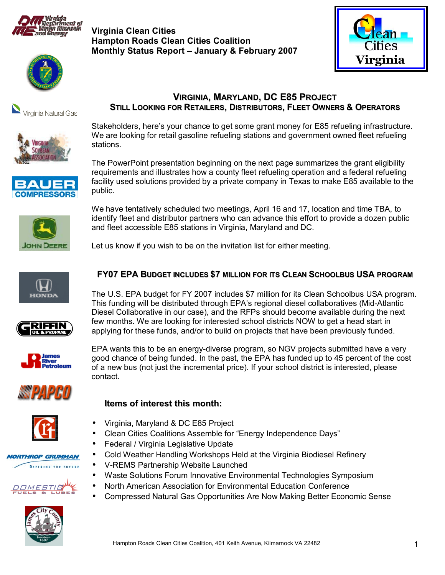

**Virginia Clean Cities Hampton Roads Clean Cities Coalition Monthly Status Report - January & February 2007** 





Virginia Natural Gas



The PowerPoint presentation beginning on the next page summarizes the grant eligibility requirements and illustrates how a county fleet refueling operation and a federal refueling facility used solutions provided by a private company in Texas to make E85 available to the public.

stations.



We have tentatively scheduled two meetings, April 16 and 17, location and time TBA, to identify fleet and distributor partners who can advance this effort to provide a dozen public and fleet accessible E85 stations in Virginia, Maryland and DC.

**VIRGINIA, MARYLAND, DC E85 PROJECT STILL LOOKING FOR RETAILERS, DISTRIBUTORS, FLEET OWNERS & OPERATORS**

Stakeholders, here's your chance to get some grant money for E85 refueling infrastructure. We are looking for retail gasoline refueling stations and government owned fleet refueling

Let us know if you wish to be on the invitation list for either meeting.











## **NORTHROP GRUMMAN**





#### **FY07 EPA BUDGET INCLUDES \$7 MILLION FOR ITS CLEAN SCHOOLBUS USA PROGRAM**

The U.S. EPA budget for FY 2007 includes \$7 million for its Clean Schoolbus USA program. This funding will be distributed through EPA's regional diesel collaboratives (Mid-Atlantic Diesel Collaborative in our case), and the RFPs should become available during the next few months. We are looking for interested school districts NOW to get a head start in applying for these funds, and/or to build on projects that have been previously funded.

EPA wants this to be an energy-diverse program, so NGV projects submitted have a very good chance of being funded. In the past, the EPA has funded up to 45 percent of the cost of a new bus (not just the incremental price). If your school district is interested, please contact.

#### **Items of interest this month:**

- Virginia, Maryland & DC E85 Project
- Clean Cities Coalitions Assemble for "Energy Independence Days"
- Federal / Virginia Legislative Update
- Cold Weather Handling Workshops Held at the Virginia Biodiesel Refinery
- V-REMS Partnership Website Launched
- Waste Solutions Forum Innovative Environmental Technologies Symposium
- North American Association for Environmental Education Conference
- Compressed Natural Gas Opportunities Are Now Making Better Economic Sense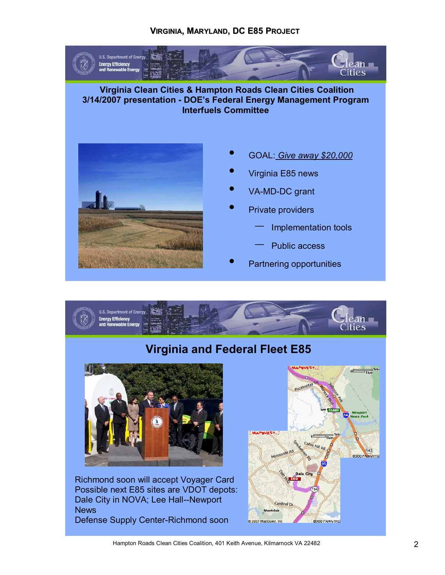#### **VIRGINIA, MARYLAND, DC E85 PROJECT**



 **Virginia Clean Cities & Hampton Roads Clean Cities Coalition 3/14/2007 presentation - DOEís Federal Energy Management Program Interfuels Committee** 



- ï GOAL: *Give away \$20,000*
- Virginia E85 news
- VA-MD-DC grant
- Private providers
	- Implementation tools
	- Public access
- Partnering opportunities



Hampton Roads Clean Cities Coalition, 401 Keith Avenue, Kilmarnock VA 22482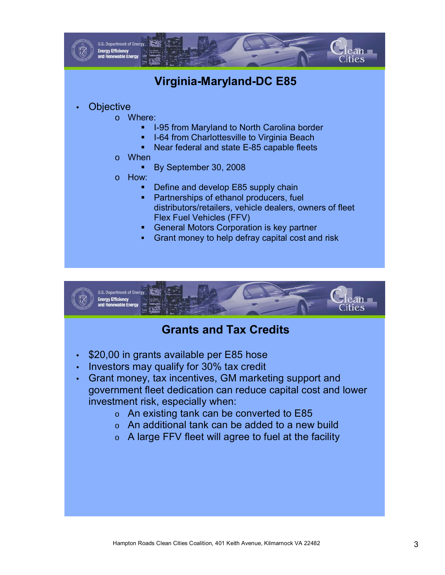

## **Virginia-Maryland-DC E85**

### **Objective**

- o Where:
	- ! I-95 from Maryland to North Carolina border
	- **.** I-64 from Charlottesville to Virginia Beach
	- Near federal and state E-85 capable fleets
- o When
	- ! By September 30, 2008
- o How:
	- **Define and develop E85 supply chain**
	- ! Partnerships of ethanol producers, fuel distributors/retailers, vehicle dealers, owners of fleet Flex Fuel Vehicles (FFV)
	- **EXECO EXECO EXECO F GENET CORRENT** General Motors Corporation is key partner
	- ! Grant money to help defray capital cost and risk



## **Grants and Tax Credits**

- \$20,00 in grants available per E85 hose
- Investors may qualify for 30% tax credit
- Grant money, tax incentives, GM marketing support and government fleet dedication can reduce capital cost and lower investment risk, especially when:
	- o An existing tank can be converted to E85
	- o An additional tank can be added to a new build
	- $\circ$  A large FFV fleet will agree to fuel at the facility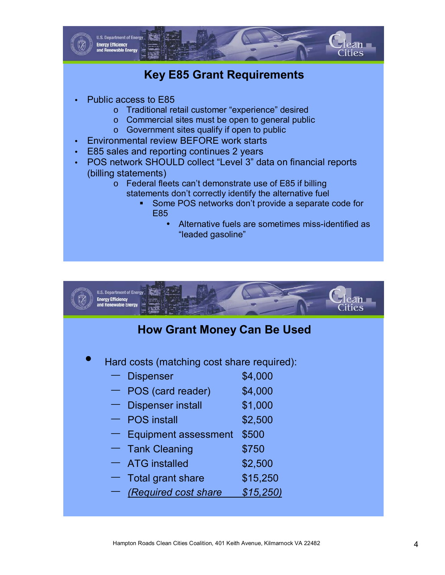

## **Key E85 Grant Requirements**

- Public access to E85
	- $\circ$  Traditional retail customer "experience" desired
	- o Commercial sites must be open to general public
	- o Government sites qualify if open to public
- Environmental review BEFORE work starts
- E85 sales and reporting continues 2 years
- **POS network SHOULD collect "Level 3" data on financial reports** (billing statements)
	- $\circ$  Federal fleets can't demonstrate use of E85 if billing statements don't correctly identify the alternative fuel
		- **EXECT:** Some POS networks don't provide a separate code for E85
			- Alternative fuels are sometimes miss-identified as "leaded gasoline"



## **How Grant Money Can Be Used**

- Hard costs (matching cost share required):
	- dispenser \$4,000
	- $POS$  (card reader)  $$4,000$
	- **EXECUTE:** Dispenser install 51,000
	- $\cdot$  POS install  $\frac{1}{2}$  \$2,500
	- $-$  Equipment assessment  $$500$
	- $-$  Tank Cleaning \$750
	- $-$  ATG installed  $$2,500$
	- $-$  Total grant share  $$15,250$
	- ñ *(Required cost share \$15,250)*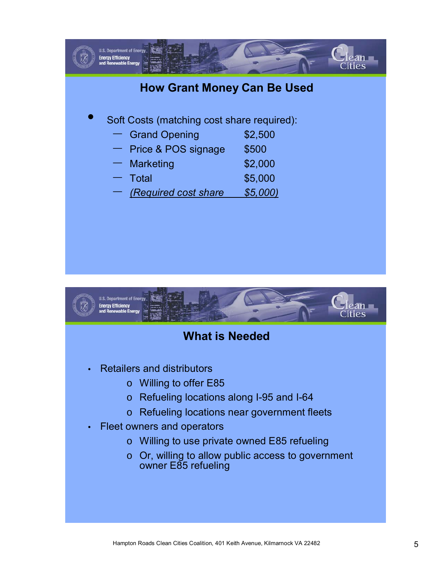

# Energy Efficier

## **What is Needed**

- Retailers and distributors
	- o Willing to offer E85
	- o Refueling locations along I-95 and I-64
	- o Refueling locations near government fleets
- Fleet owners and operators
	- o Willing to use private owned E85 refueling
	- o Or, willing to allow public access to government owner E85 refueling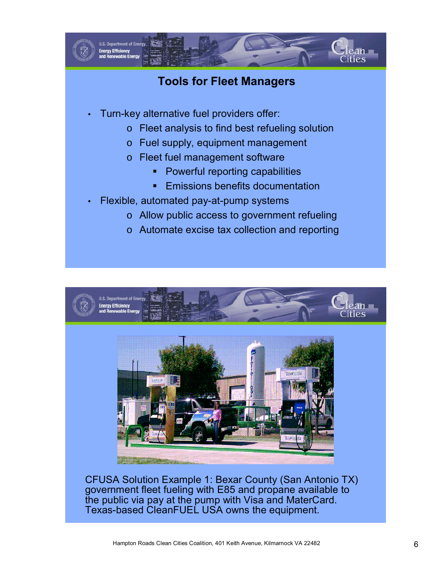

## **Tools for Fleet Managers**

- Turn-key alternative fuel providers offer:
	- o Fleet analysis to find best refueling solution
	- o Fuel supply, equipment management
	- o Fleet fuel management software
		- **Powerful reporting capabilities**
		- **EXECUTE:** Emissions benefits documentation
- Flexible, automated pay-at-pump systems
	- o Allow public access to government refueling
	- o Automate excise tax collection and reporting



CFUSA Solution Example 1: Bexar County (San Antonio TX) government fleet fueling with E85 and propane available to the public via pay at the pump with Visa and MaterCard. Texas-based CleanFUEL USA owns the equipment.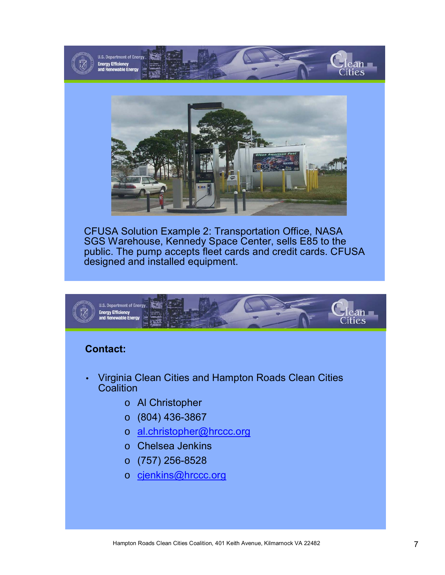



CFUSA Solution Example 2: Transportation Office, NASA SGS Warehouse, Kennedy Space Center, sells E85 to the public. The pump accepts fleet cards and credit cards. CFUSA designed and installed equipment.



#### **Contact:**

- Virginia Clean Cities and Hampton Roads Clean Cities **Coalition** 
	- o Al Christopher
	- o (804) 436-3867
	- o al.christopher@hrccc.org
	- o Chelsea Jenkins
	- o (757) 256-8528
	- o cjenkins@hrccc.org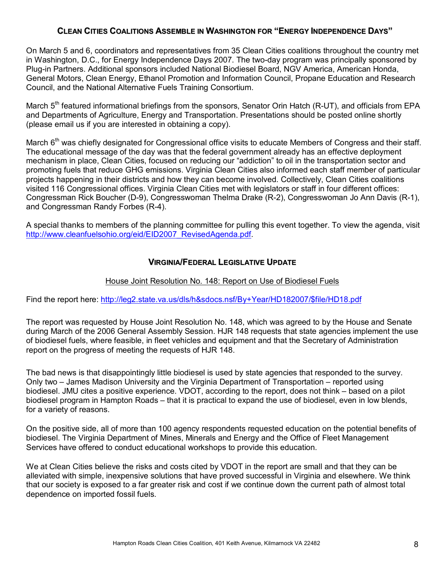#### **CLEAN CITIES COALITIONS ASSEMBLE IN WASHINGTON FOR ìENERGY INDEPENDENCE DAYSî**

On March 5 and 6, coordinators and representatives from 35 Clean Cities coalitions throughout the country met in Washington, D.C., for Energy Independence Days 2007. The two-day program was principally sponsored by Plug-in Partners. Additional sponsors included National Biodiesel Board, NGV America, American Honda, General Motors, Clean Energy, Ethanol Promotion and Information Council, Propane Education and Research Council, and the National Alternative Fuels Training Consortium.

March 5<sup>th</sup> featured informational briefings from the sponsors, Senator Orin Hatch (R-UT), and officials from EPA and Departments of Agriculture, Energy and Transportation. Presentations should be posted online shortly (please email us if you are interested in obtaining a copy).

March 6<sup>th</sup> was chiefly designated for Congressional office visits to educate Members of Congress and their staff. The educational message of the day was that the federal government already has an effective deployment mechanism in place, Clean Cities, focused on reducing our "addiction" to oil in the transportation sector and promoting fuels that reduce GHG emissions. Virginia Clean Cities also informed each staff member of particular projects happening in their districts and how they can become involved. Collectively, Clean Cities coalitions visited 116 Congressional offices. Virginia Clean Cities met with legislators or staff in four different offices: Congressman Rick Boucher (D-9), Congresswoman Thelma Drake (R-2), Congresswoman Jo Ann Davis (R-1), and Congressman Randy Forbes (R-4).

A special thanks to members of the planning committee for pulling this event together. To view the agenda, visit http://www.cleanfuelsohio.org/eid/EID2007\_RevisedAgenda.pdf.

#### **VIRGINIA/FEDERAL LEGISLATIVE UPDATE**

#### House Joint Resolution No. 148: Report on Use of Biodiesel Fuels

Find the report here: http://leg2.state.va.us/dls/h&sdocs.nsf/By+Year/HD182007/\$file/HD18.pdf

The report was requested by House Joint Resolution No. 148, which was agreed to by the House and Senate during March of the 2006 General Assembly Session. HJR 148 requests that state agencies implement the use of biodiesel fuels, where feasible, in fleet vehicles and equipment and that the Secretary of Administration report on the progress of meeting the requests of HJR 148.

The bad news is that disappointingly little biodiesel is used by state agencies that responded to the survey. Only two – James Madison University and the Virginia Department of Transportation – reported using biodiesel. JMU cites a positive experience. VDOT, according to the report, does not think – based on a pilot biodiesel program in Hampton Roads – that it is practical to expand the use of biodiesel, even in low blends, for a variety of reasons.

On the positive side, all of more than 100 agency respondents requested education on the potential benefits of biodiesel. The Virginia Department of Mines, Minerals and Energy and the Office of Fleet Management Services have offered to conduct educational workshops to provide this education.

We at Clean Cities believe the risks and costs cited by VDOT in the report are small and that they can be alleviated with simple, inexpensive solutions that have proved successful in Virginia and elsewhere. We think that our society is exposed to a far greater risk and cost if we continue down the current path of almost total dependence on imported fossil fuels.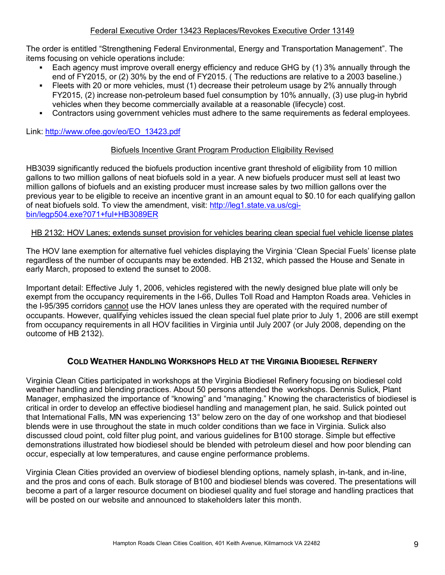The order is entitled "Strengthening Federal Environmental, Energy and Transportation Management". The items focusing on vehicle operations include:

- Each agency must improve overall energy efficiency and reduce GHG by (1) 3% annually through the end of FY2015, or (2) 30% by the end of FY2015. ( The reductions are relative to a 2003 baseline.)
- Fleets with 20 or more vehicles, must (1) decrease their petroleum usage by 2% annually through FY2015, (2) increase non-petroleum based fuel consumption by 10% annually, (3) use plug-in hybrid vehicles when they become commercially available at a reasonable (lifecycle) cost.
- ! Contractors using government vehicles must adhere to the same requirements as federal employees.

Link: http://www.ofee.gov/eo/EO\_13423.pdf

#### Biofuels Incentive Grant Program Production Eligibility Revised

HB3039 significantly reduced the biofuels production incentive grant threshold of eligibility from 10 million gallons to two million gallons of neat biofuels sold in a year. A new biofuels producer must sell at least two million gallons of biofuels and an existing producer must increase sales by two million gallons over the previous year to be eligible to receive an incentive grant in an amount equal to \$0.10 for each qualifying gallon of neat biofuels sold. To view the amendment, visit: http://leg1.state.va.us/cgibin/legp504.exe?071+ful+HB3089ER

#### HB 2132: HOV Lanes; extends sunset provision for vehicles bearing clean special fuel vehicle license plates

The HOV lane exemption for alternative fuel vehicles displaying the Virginia 'Clean Special Fuels' license plate regardless of the number of occupants may be extended. HB 2132, which passed the House and Senate in early March, proposed to extend the sunset to 2008.

Important detail: Effective July 1, 2006, vehicles registered with the newly designed blue plate will only be exempt from the occupancy requirements in the I-66, Dulles Toll Road and Hampton Roads area. Vehicles in the I-95/395 corridors cannot use the HOV lanes unless they are operated with the required number of occupants. However, qualifying vehicles issued the clean special fuel plate prior to July 1, 2006 are still exempt from occupancy requirements in all HOV facilities in Virginia until July 2007 (or July 2008, depending on the outcome of HB 2132).

#### **COLD WEATHER HANDLING WORKSHOPS HELD AT THE VIRGINIA BIODIESEL REFINERY**

Virginia Clean Cities participated in workshops at the Virginia Biodiesel Refinery focusing on biodiesel cold weather handling and blending practices. About 50 persons attended the workshops. Dennis Sulick, Plant Manager, emphasized the importance of "knowing" and "managing." Knowing the characteristics of biodiesel is critical in order to develop an effective biodiesel handling and management plan, he said. Sulick pointed out that International Falls, MN was experiencing 13° below zero on the day of one workshop and that biodiesel blends were in use throughout the state in much colder conditions than we face in Virginia. Sulick also discussed cloud point, cold filter plug point, and various guidelines for B100 storage. Simple but effective demonstrations illustrated how biodiesel should be blended with petroleum diesel and how poor blending can occur, especially at low temperatures, and cause engine performance problems.

Virginia Clean Cities provided an overview of biodiesel blending options, namely splash, in-tank, and in-line, and the pros and cons of each. Bulk storage of B100 and biodiesel blends was covered. The presentations will become a part of a larger resource document on biodiesel quality and fuel storage and handling practices that will be posted on our website and announced to stakeholders later this month.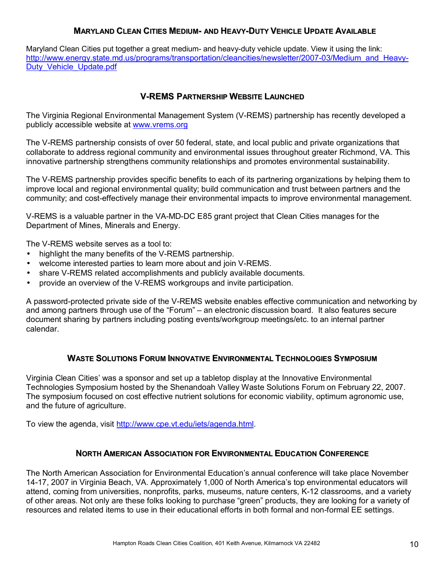#### **MARYLAND CLEAN CITIES MEDIUM- AND HEAVY-DUTY VEHICLE UPDATE AVAILABLE**

Maryland Clean Cities put together a great medium- and heavy-duty vehicle update. View it using the link: http://www.energy.state.md.us/programs/transportation/cleancities/newsletter/2007-03/Medium\_and\_Heavy-Duty Vehicle Update.pdf

#### **V-REMS PARTNERSHIP WEBSITE LAUNCHED**

The Virginia Regional Environmental Management System (V-REMS) partnership has recently developed a publicly accessible website at www.vrems.org

The V-REMS partnership consists of over 50 federal, state, and local public and private organizations that collaborate to address regional community and environmental issues throughout greater Richmond, VA. This innovative partnership strengthens community relationships and promotes environmental sustainability.

The V-REMS partnership provides specific benefits to each of its partnering organizations by helping them to improve local and regional environmental quality; build communication and trust between partners and the community; and cost-effectively manage their environmental impacts to improve environmental management.

V-REMS is a valuable partner in the VA-MD-DC E85 grant project that Clean Cities manages for the Department of Mines, Minerals and Energy.

The V-REMS website serves as a tool to:

- highlight the many benefits of the V-REMS partnership.
- welcome interested parties to learn more about and join V-REMS.
- share V-REMS related accomplishments and publicly available documents.
- provide an overview of the V-REMS workgroups and invite participation.

A password-protected private side of the V-REMS website enables effective communication and networking by and among partners through use of the "Forum" – an electronic discussion board. It also features secure document sharing by partners including posting events/workgroup meetings/etc. to an internal partner calendar.

#### **WASTE SOLUTIONS FORUM INNOVATIVE ENVIRONMENTAL TECHNOLOGIES SYMPOSIUM**

Virginia Clean Citiesí was a sponsor and set up a tabletop display at the Innovative Environmental Technologies Symposium hosted by the Shenandoah Valley Waste Solutions Forum on February 22, 2007. The symposium focused on cost effective nutrient solutions for economic viability, optimum agronomic use, and the future of agriculture.

To view the agenda, visit http://www.cpe.vt.edu/iets/agenda.html.

#### **NORTH AMERICAN ASSOCIATION FOR ENVIRONMENTAL EDUCATION CONFERENCE**

The North American Association for Environmental Educationís annual conference will take place November 14-17, 2007 in Virginia Beach, VA. Approximately 1,000 of North Americaís top environmental educators will attend, coming from universities, nonprofits, parks, museums, nature centers, K-12 classrooms, and a variety of other areas. Not only are these folks looking to purchase "green" products, they are looking for a variety of resources and related items to use in their educational efforts in both formal and non-formal EE settings.